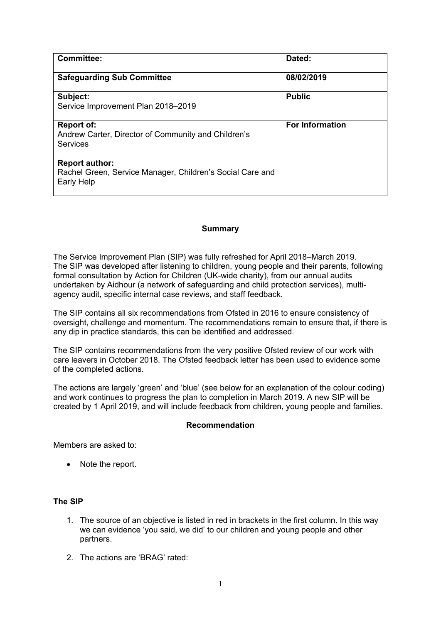| Committee:                                                                                       | Dated:                 |
|--------------------------------------------------------------------------------------------------|------------------------|
| <b>Safeguarding Sub Committee</b>                                                                | 08/02/2019             |
| Subject:<br>Service Improvement Plan 2018-2019                                                   | <b>Public</b>          |
| Report of:<br>Andrew Carter, Director of Community and Children's<br><b>Services</b>             | <b>For Information</b> |
| <b>Report author:</b><br>Rachel Green, Service Manager, Children's Social Care and<br>Early Help |                        |

### **Summary**

The Service Improvement Plan (SIP) was fully refreshed for April 2018–March 2019. The SIP was developed after listening to children, young people and their parents, following formal consultation by Action for Children (UK-wide charity), from our annual audits undertaken by Aidhour (a network of safeguarding and child protection services), multiagency audit, specific internal case reviews, and staff feedback.

The SIP contains all six recommendations from Ofsted in 2016 to ensure consistency of oversight, challenge and momentum. The recommendations remain to ensure that, if there is any dip in practice standards, this can be identified and addressed.

The SIP contains recommendations from the very positive Ofsted review of our work with care leavers in October 2018. The Ofsted feedback letter has been used to evidence some of the completed actions.

The actions are largely 'green' and 'blue' (see below for an explanation of the colour coding) and work continues to progress the plan to completion in March 2019. A new SIP will be created by 1 April 2019, and will include feedback from children, young people and families.

#### **Recommendation**

Members are asked to:

• Note the report.

### **The SIP**

- 1. The source of an objective is listed in red in brackets in the first column. In this way we can evidence 'you said, we did' to our children and young people and other partners.
- 2. The actions are 'BRAG' rated: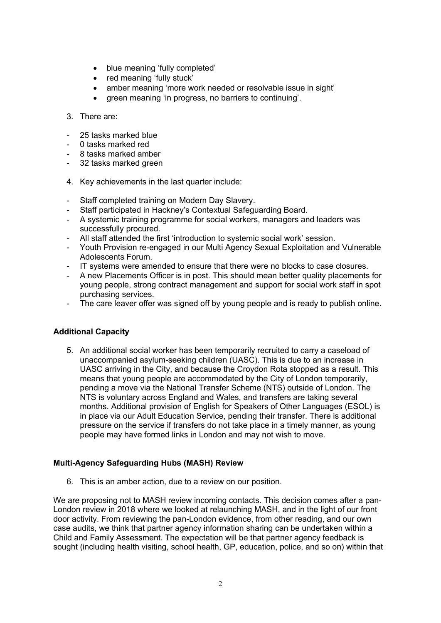- blue meaning 'fully completed'
- red meaning 'fully stuck'
- amber meaning 'more work needed or resolvable issue in sight'
- green meaning 'in progress, no barriers to continuing'.

### 3. There are:

- 25 tasks marked blue
- 0 tasks marked red
- 8 tasks marked amber
- 32 tasks marked green
- 4. Key achievements in the last quarter include:
- Staff completed training on Modern Day Slavery.
- Staff participated in Hackney's Contextual Safeguarding Board.
- A systemic training programme for social workers, managers and leaders was successfully procured.
- All staff attended the first 'introduction to systemic social work' session.
- Youth Provision re-engaged in our Multi Agency Sexual Exploitation and Vulnerable Adolescents Forum.
- IT systems were amended to ensure that there were no blocks to case closures.
- A new Placements Officer is in post. This should mean better quality placements for young people, strong contract management and support for social work staff in spot purchasing services.
- The care leaver offer was signed off by young people and is ready to publish online.

# **Additional Capacity**

5. An additional social worker has been temporarily recruited to carry a caseload of unaccompanied asylum-seeking children (UASC). This is due to an increase in UASC arriving in the City, and because the Croydon Rota stopped as a result. This means that young people are accommodated by the City of London temporarily, pending a move via the National Transfer Scheme (NTS) outside of London. The NTS is voluntary across England and Wales, and transfers are taking several months. Additional provision of English for Speakers of Other Languages (ESOL) is in place via our Adult Education Service, pending their transfer. There is additional pressure on the service if transfers do not take place in a timely manner, as young people may have formed links in London and may not wish to move.

# **Multi-Agency Safeguarding Hubs (MASH) Review**

6. This is an amber action, due to a review on our position.

We are proposing not to MASH review incoming contacts. This decision comes after a pan-London review in 2018 where we looked at relaunching MASH, and in the light of our front door activity. From reviewing the pan-London evidence, from other reading, and our own case audits, we think that partner agency information sharing can be undertaken within a Child and Family Assessment. The expectation will be that partner agency feedback is sought (including health visiting, school health, GP, education, police, and so on) within that